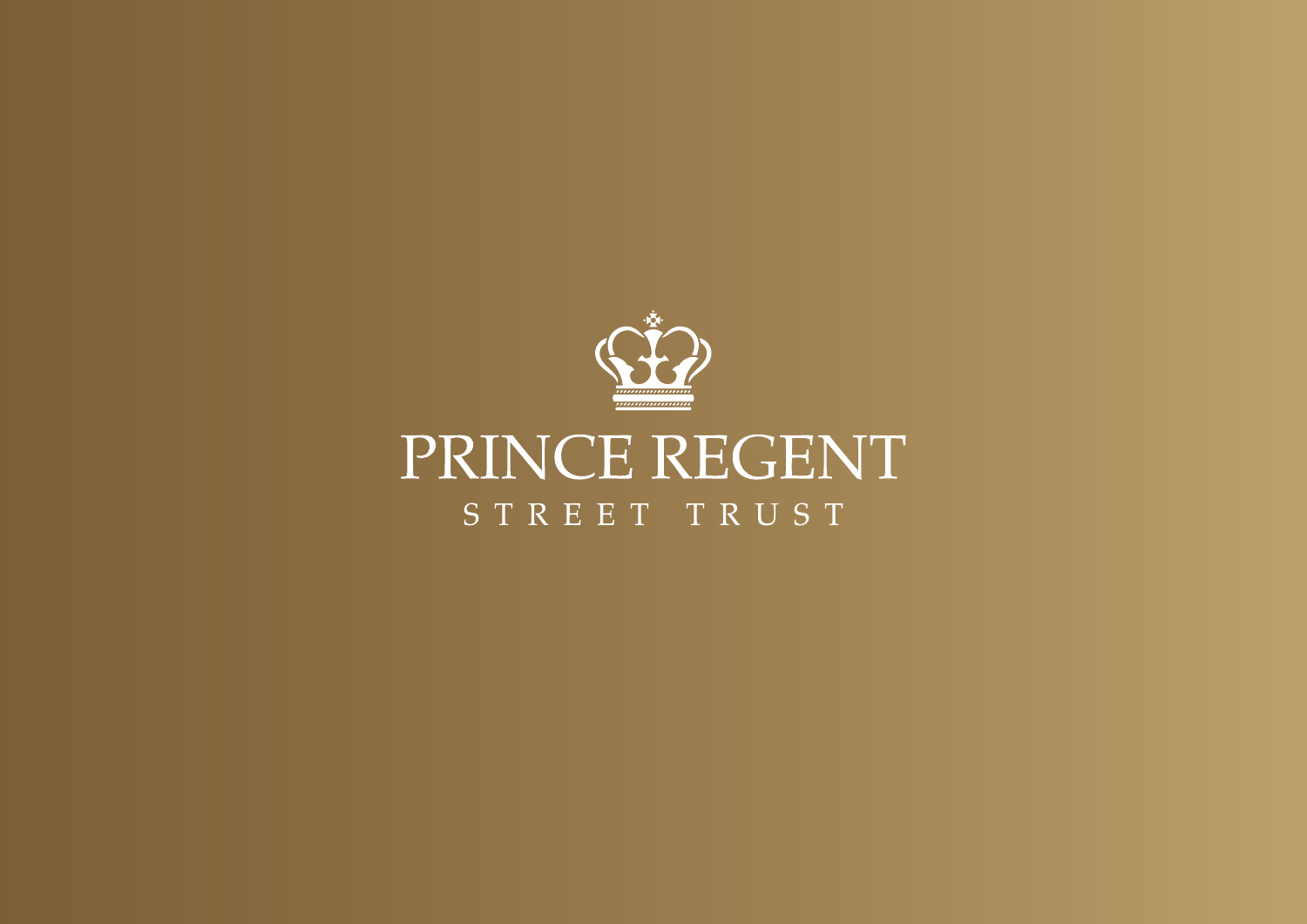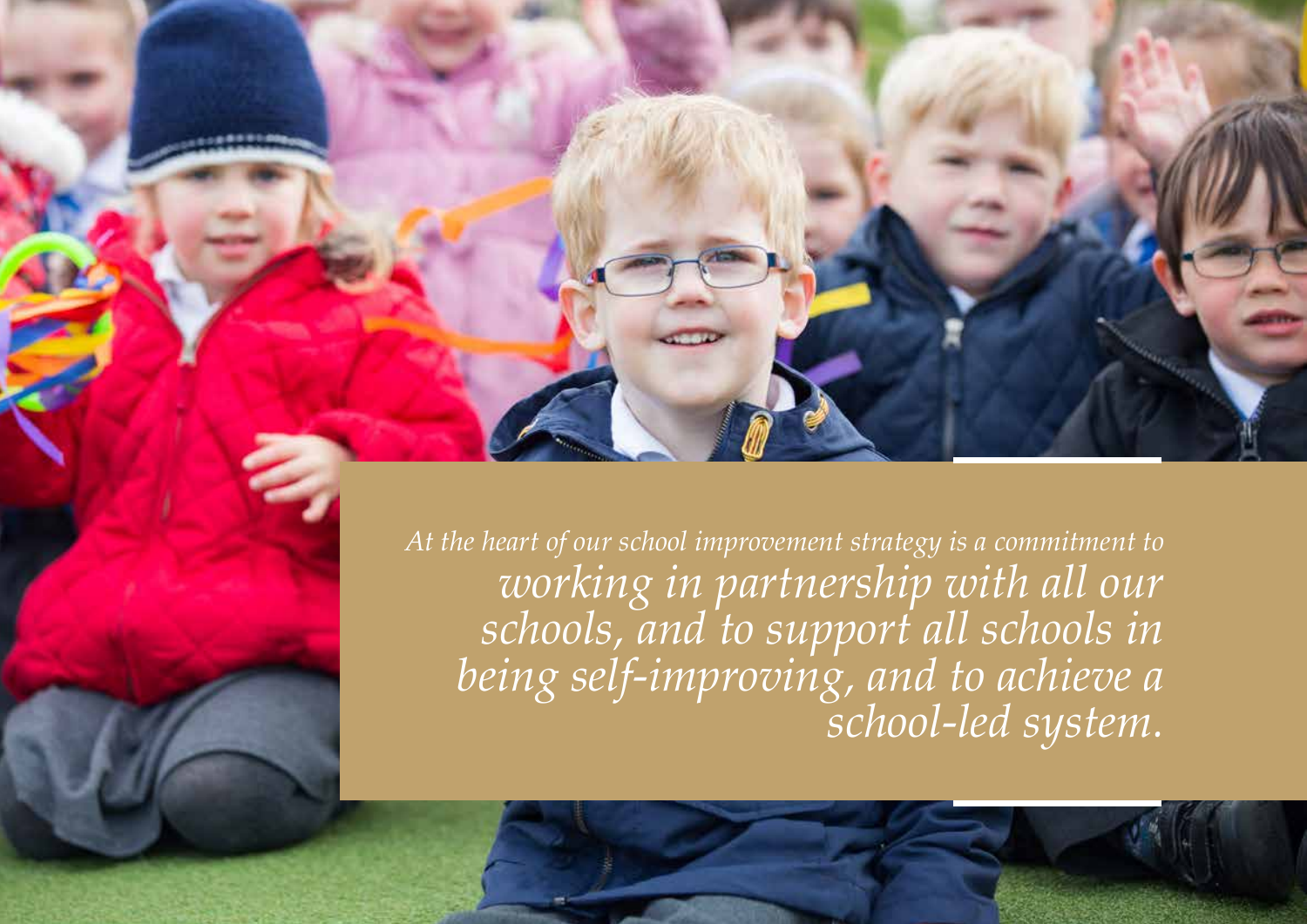

*At the heart of our school improvement strategy is a commitment to working in partnership with all our schools, and to support all schools in being self-improving, and to achieve a school-led system.*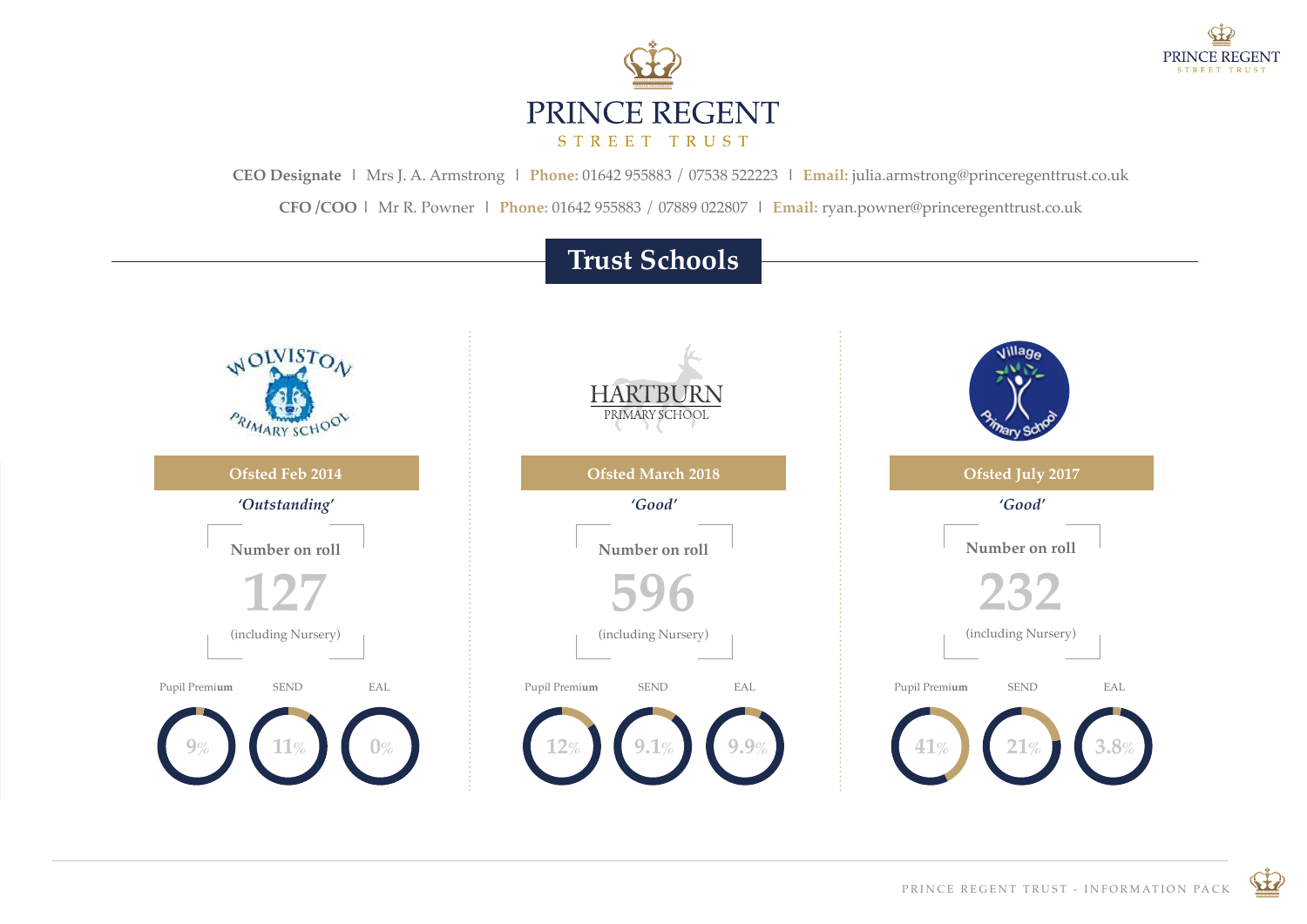



**CEO Designate |** Mrs J. A. Armstrong **| Phone:** 01642 955883 / 07538 522223 **| Email:** julia.armstrong@princeregenttrust.co.uk

**CFO /COO |** Mr R. Powner **| Phone:** 01642 955883 / 07889 022807 **| Email:** ryan.powner@princeregenttrust.co.uk

# **Trust Schools**



 $\bigoplus$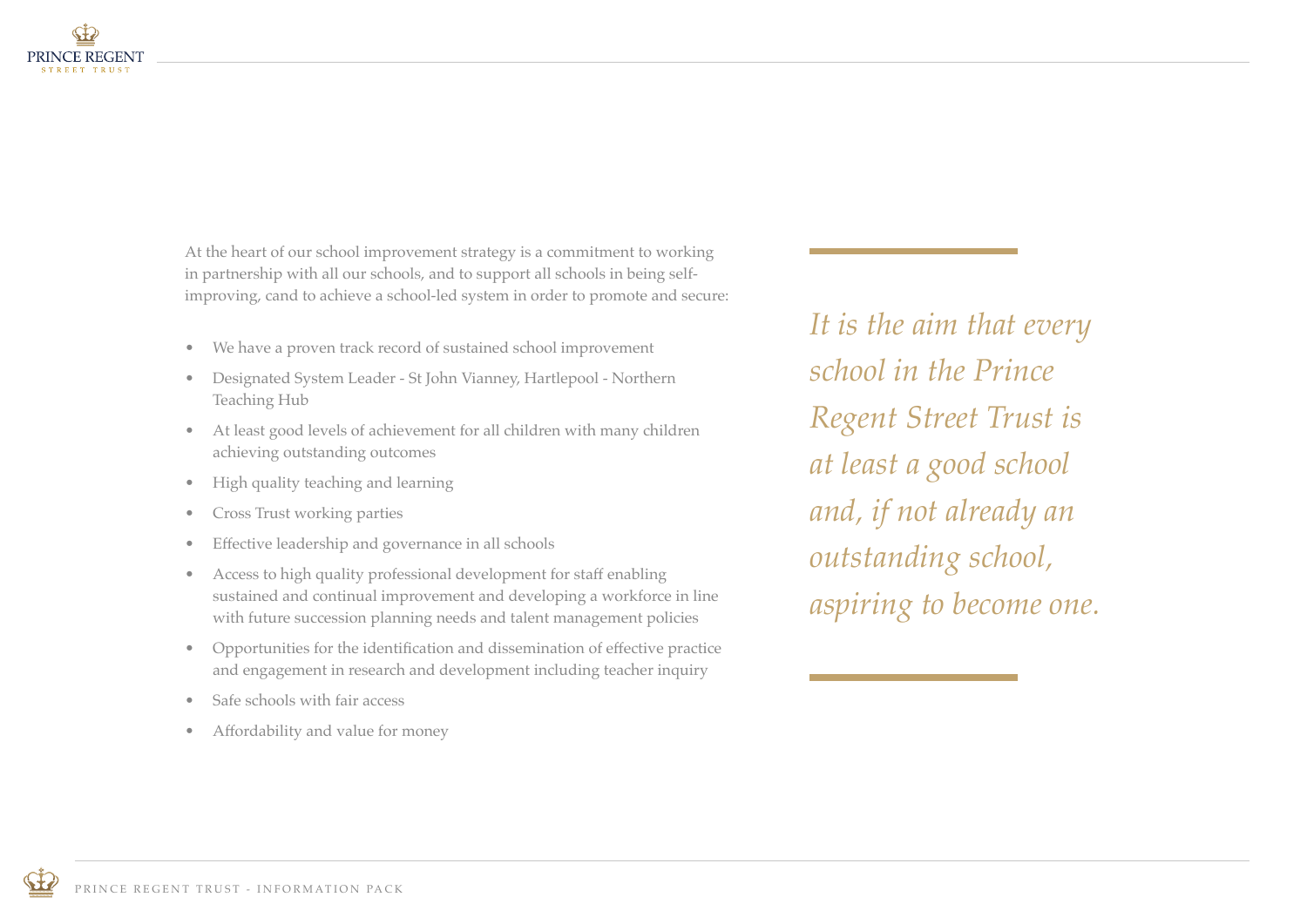

At the heart of our school improvement strategy is a commitment to working in partnership with all our schools, and to support all schools in being selfimproving, cand to achieve a school-led system in order to promote and secure:

- We have a proven track record of sustained school improvement
- Designated System Leader St John Vianney, Hartlepool Northern Teaching Hub
- At least good levels of achievement for all children with many children achieving outstanding outcomes
- High quality teaching and learning
- Cross Trust working parties
- Effective leadership and governance in all schools
- Access to high quality professional development for staff enabling sustained and continual improvement and developing a workforce in line with future succession planning needs and talent management policies
- Opportunities for the identification and dissemination of effective practice and engagement in research and development including teacher inquiry
- Safe schools with fair access
- Affordability and value for money

*It is the aim that every school in the Prince Regent Street Trust is at least a good school and, if not already an outstanding school, aspiring to become one.*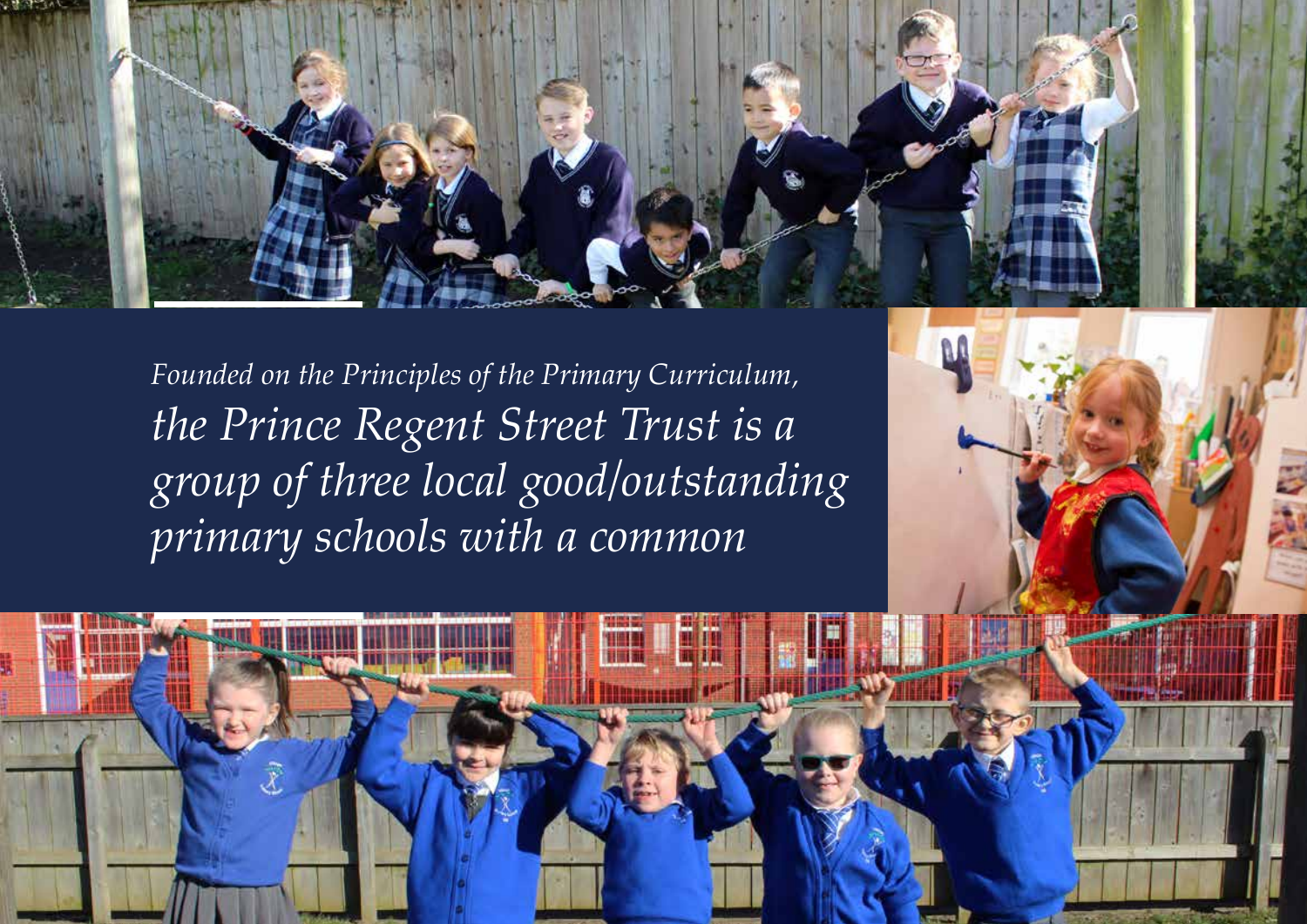

*Founded on the Principles of the Primary Curriculum, the Prince Regent Street Trust is a group of three local good/outstanding primary schools with a common* 



PRINCE REGENT TRUST - INFORMATION PACKAGE IN THE UNIT OF THE UNIT OF THE UNIT OF THE UNIT OF THE UNIT OF THE U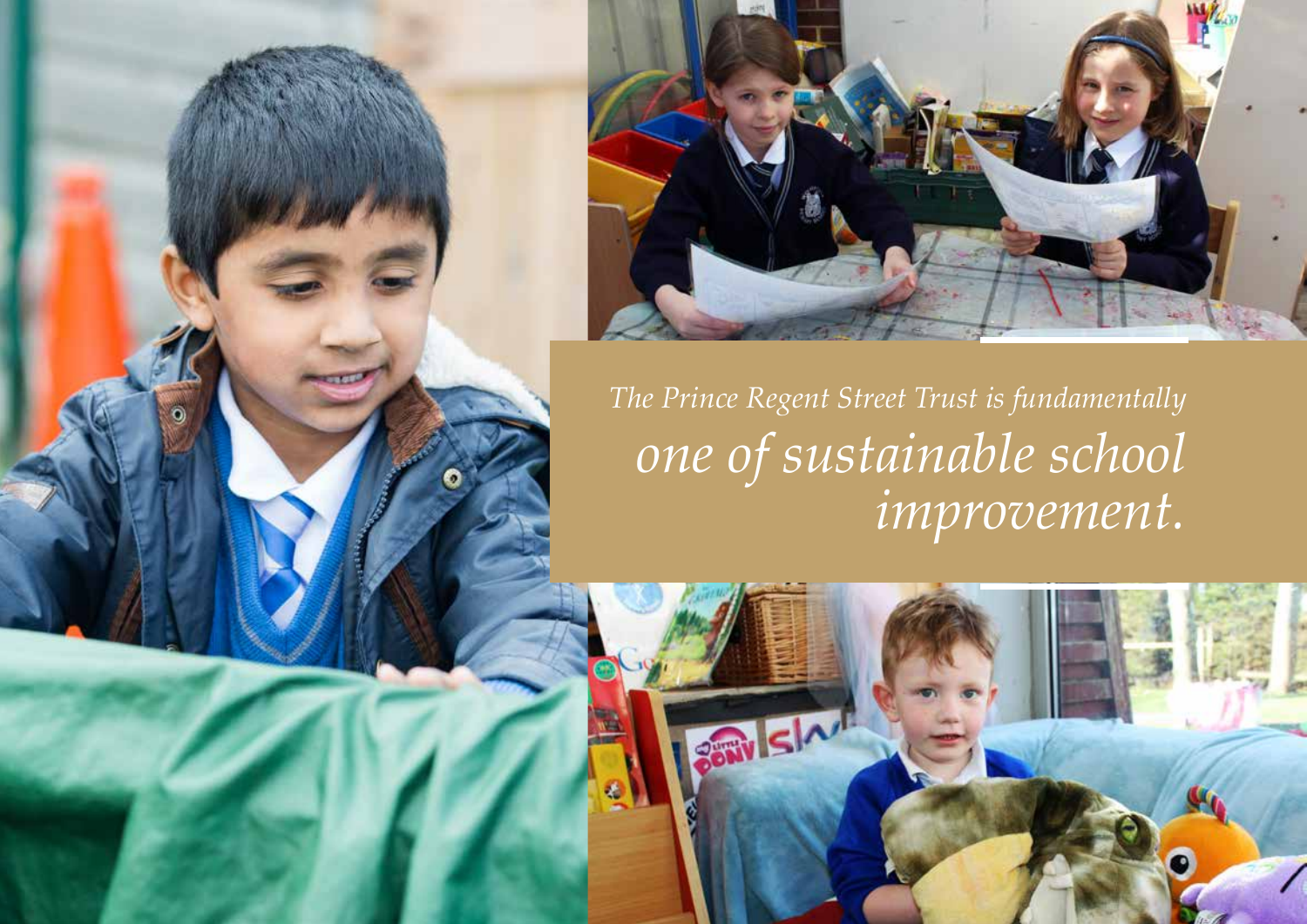



*The Prince Regent Street Trust is fundamentally one of sustainable school improvement.*

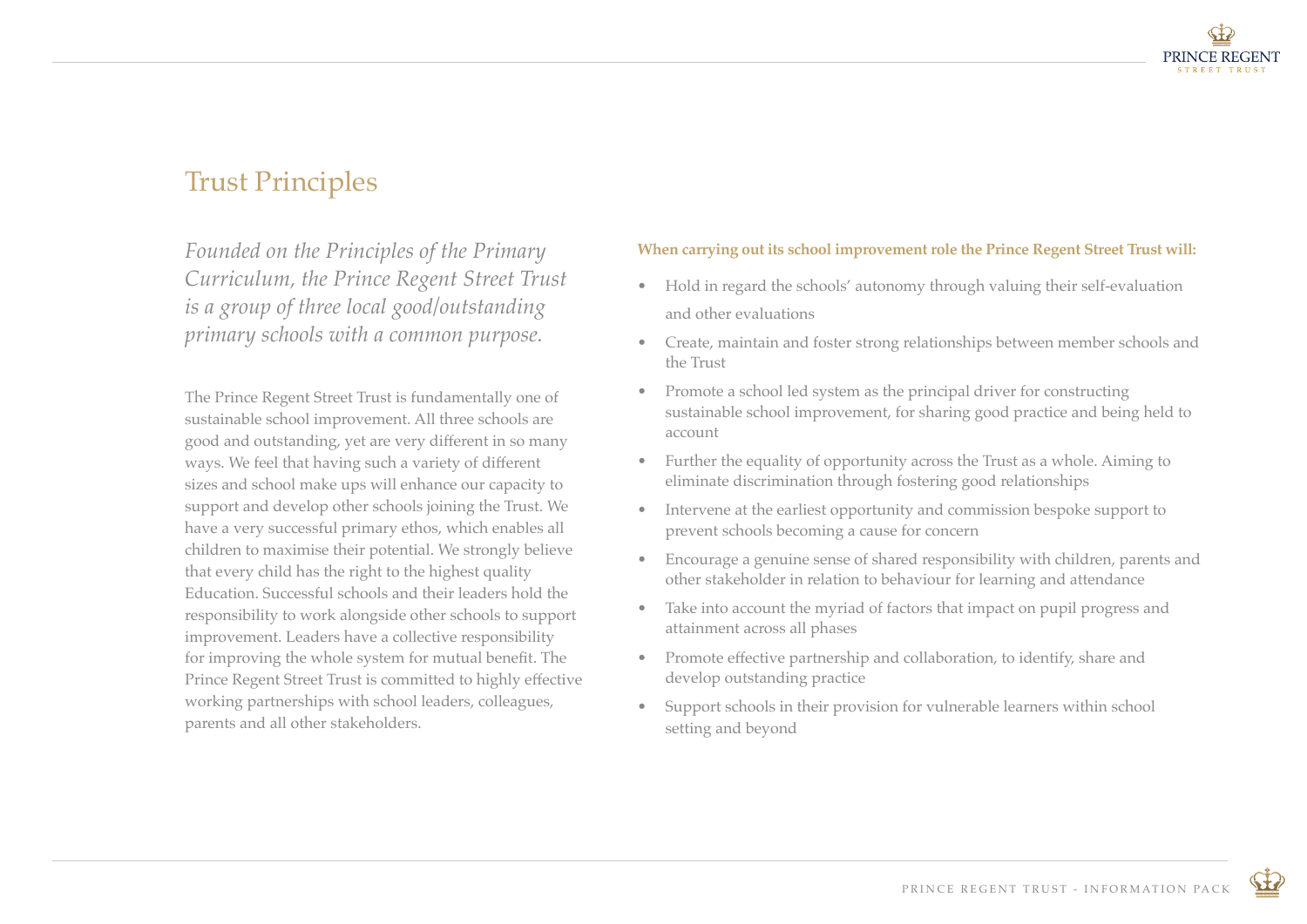

## Trust Principles

*Founded on the Principles of the Primary Curriculum, the Prince Regent Street Trust is a group of three local good/outstanding primary schools with a common purpose.* 

The Prince Regent Street Trust is fundamentally one of sustainable school improvement. All three schools are good and outstanding, yet are very different in so many ways. We feel that having such a variety of different sizes and school make ups will enhance our capacity to support and develop other schools joining the Trust. We have a very successful primary ethos, which enables all children to maximise their potential. We strongly believe that every child has the right to the highest quality Education. Successful schools and their leaders hold the responsibility to work alongside other schools to support improvement. Leaders have a collective responsibility for improving the whole system for mutual benefit. The Prince Regent Street Trust is committed to highly effective working partnerships with school leaders, colleagues, parents and all other stakeholders.

#### **When carrying out its school improvement role the Prince Regent Street Trust will:**

- Hold in regard the schools' autonomy through valuing their self-evaluation and other evaluations
- Create, maintain and foster strong relationships between member schools and the Trust
- Promote a school led system as the principal driver for constructing sustainable school improvement, for sharing good practice and being held to account
- Further the equality of opportunity across the Trust as a whole. Aiming to eliminate discrimination through fostering good relationships
- Intervene at the earliest opportunity and commission bespoke support to prevent schools becoming a cause for concern
- Encourage a genuine sense of shared responsibility with children, parents and other stakeholder in relation to behaviour for learning and attendance
- Take into account the myriad of factors that impact on pupil progress and attainment across all phases
- Promote effective partnership and collaboration, to identify, share and develop outstanding practice
- Support schools in their provision for vulnerable learners within school setting and beyond

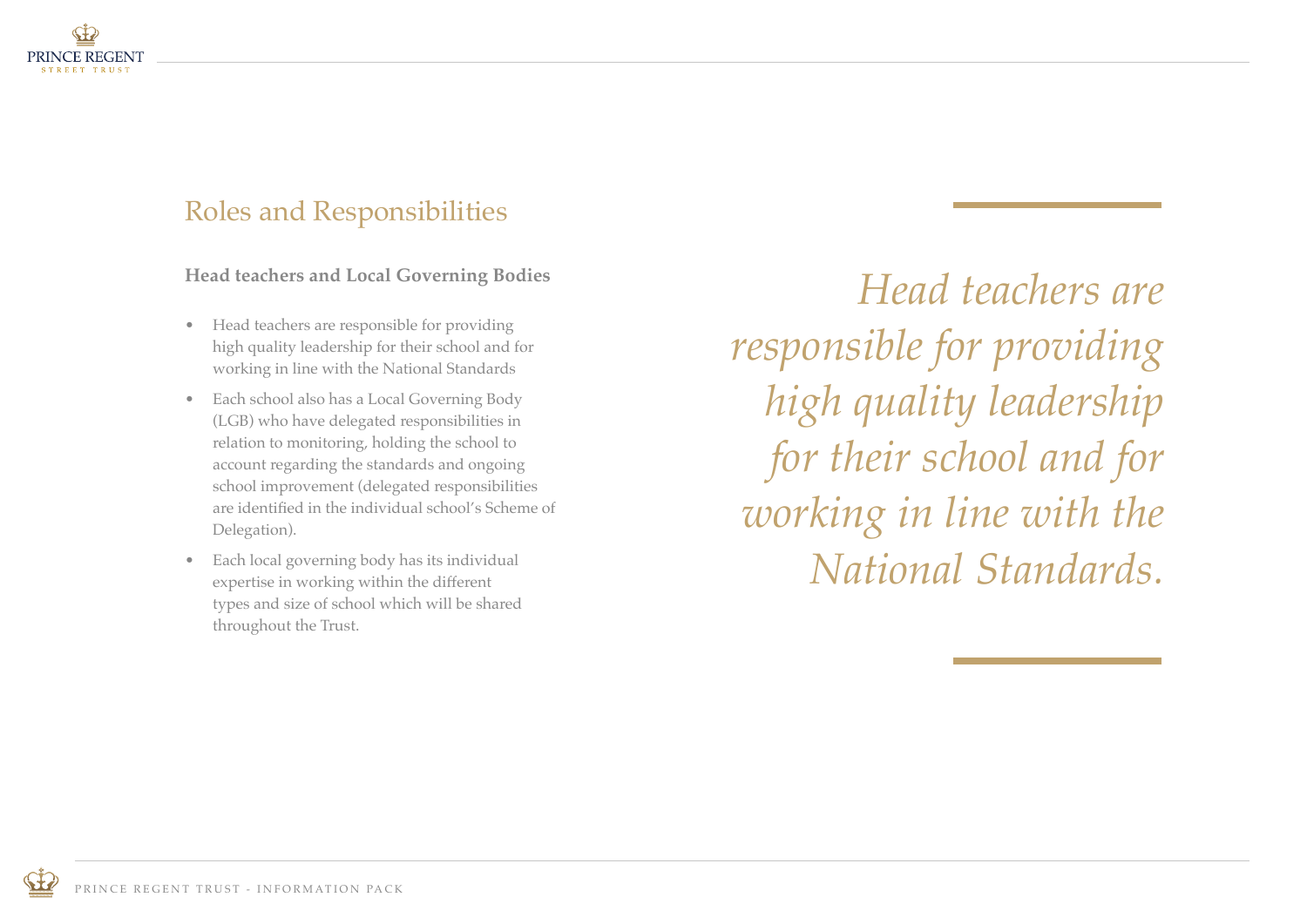

# Roles and Responsibilities

**Head teachers and Local Governing Bodies**

- Head teachers are responsible for providing high quality leadership for their school and for working in line with the National Standards
- Each school also has a Local Governing Body (LGB) who have delegated responsibilities in relation to monitoring, holding the school to account regarding the standards and ongoing school improvement (delegated responsibilities are identified in the individual school's Scheme of Delegation).
- Each local governing body has its individual expertise in working within the different types and size of school which will be shared throughout the Trust.

*Head teachers are responsible for providing high quality leadership for their school and for working in line with the National Standards.* 

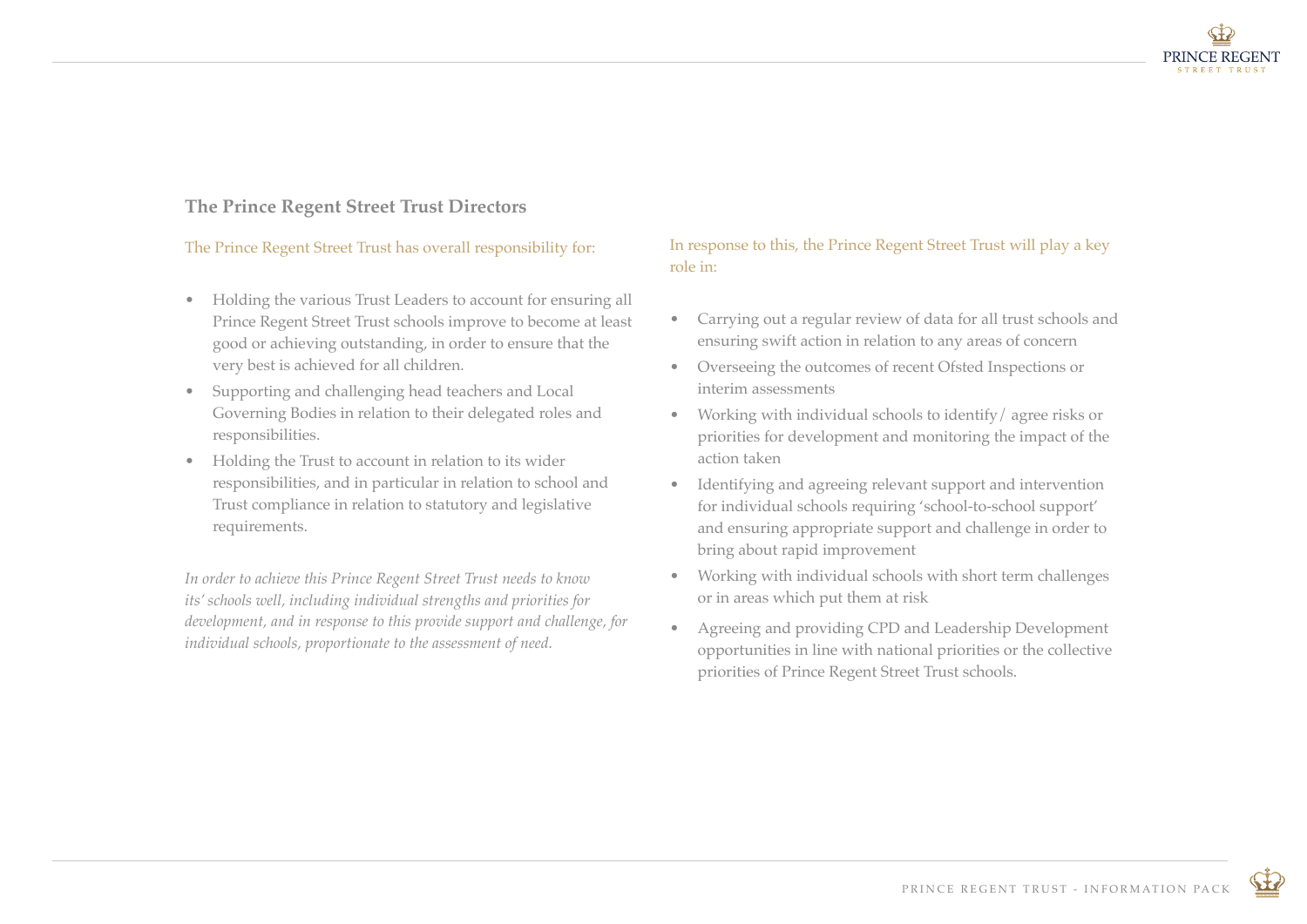

### **The Prince Regent Street Trust Directors**

#### The Prince Regent Street Trust has overall responsibility for:

- Holding the various Trust Leaders to account for ensuring all Prince Regent Street Trust schools improve to become at least good or achieving outstanding, in order to ensure that the very best is achieved for all children.
- Supporting and challenging head teachers and Local Governing Bodies in relation to their delegated roles and responsibilities.
- Holding the Trust to account in relation to its wider responsibilities, and in particular in relation to school and Trust compliance in relation to statutory and legislative requirements.

*In order to achieve this Prince Regent Street Trust needs to know its' schools well, including individual strengths and priorities for development, and in response to this provide support and challenge, for individual schools, proportionate to the assessment of need.*

### In response to this, the Prince Regent Street Trust will play a key role in:

- Carrying out a regular review of data for all trust schools and ensuring swift action in relation to any areas of concern
- Overseeing the outcomes of recent Ofsted Inspections or interim assessments
- Working with individual schools to identify/ agree risks or priorities for development and monitoring the impact of the action taken
- Identifying and agreeing relevant support and intervention for individual schools requiring 'school-to-school support' and ensuring appropriate support and challenge in order to bring about rapid improvement
- Working with individual schools with short term challenges or in areas which put them at risk
- Agreeing and providing CPD and Leadership Development opportunities in line with national priorities or the collective priorities of Prince Regent Street Trust schools.

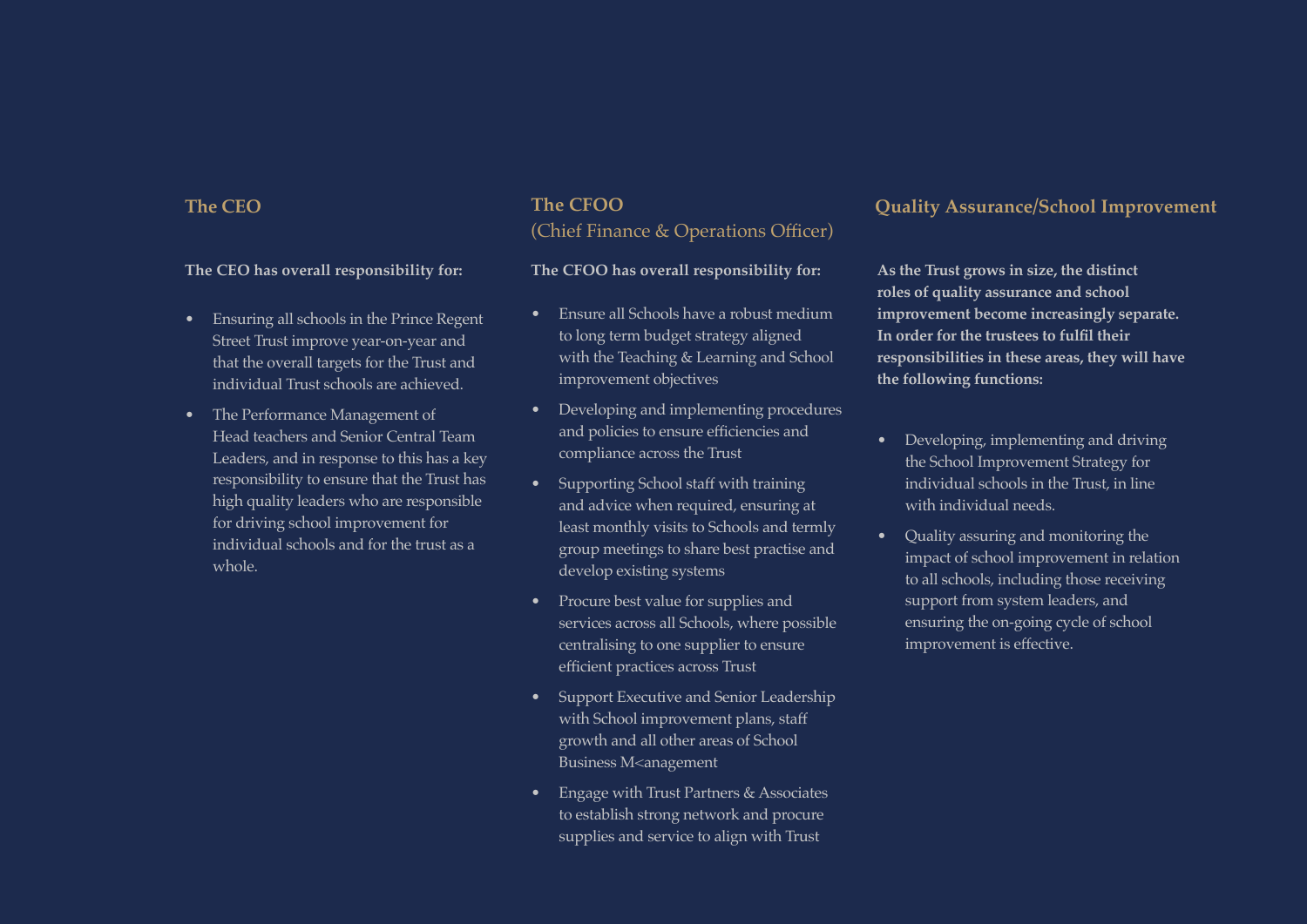#### **The CEO has overall responsibility for:**

- Ensuring all schools in the Prince Regent Street Trust improve year-on-year and that the overall targets for the Trust and individual Trust schools are achieved.
- The Performance Management of Head teachers and Senior Central Team Leaders, and in response to this has a key responsibility to ensure that the Trust has high quality leaders who are responsible for driving school improvement for individual schools and for the trust as a whole.

### **The CFOO** (Chief Finance & Operations Officer)

#### **The CFOO has overall responsibility for:**

- Ensure all Schools have a robust medium to long term budget strategy aligned with the Teaching & Learning and School improvement objectives
- Developing and implementing procedures and policies to ensure efficiencies and compliance across the Trust
- Supporting School staff with training and advice when required, ensuring at least monthly visits to Schools and termly group meetings to share best practise and develop existing systems
- Procure best value for supplies and services across all Schools, where possible centralising to one supplier to ensure efficient practices across Trust
- Support Executive and Senior Leadership with School improvement plans, staff growth and all other areas of School Business M<anagement
- Engage with Trust Partners & Associates to establish strong network and procure supplies and service to align with Trust

### **The CEO Quality Assurance/School Improvement**

**As the Trust grows in size, the distinct roles of quality assurance and school improvement become increasingly separate. In order for the trustees to fulfil their responsibilities in these areas, they will have the following functions:**

- Developing, implementing and driving the School Improvement Strategy for individual schools in the Trust, in line with individual needs.
- Quality assuring and monitoring the impact of school improvement in relation to all schools, including those receiving support from system leaders, and ensuring the on-going cycle of school improvement is effective.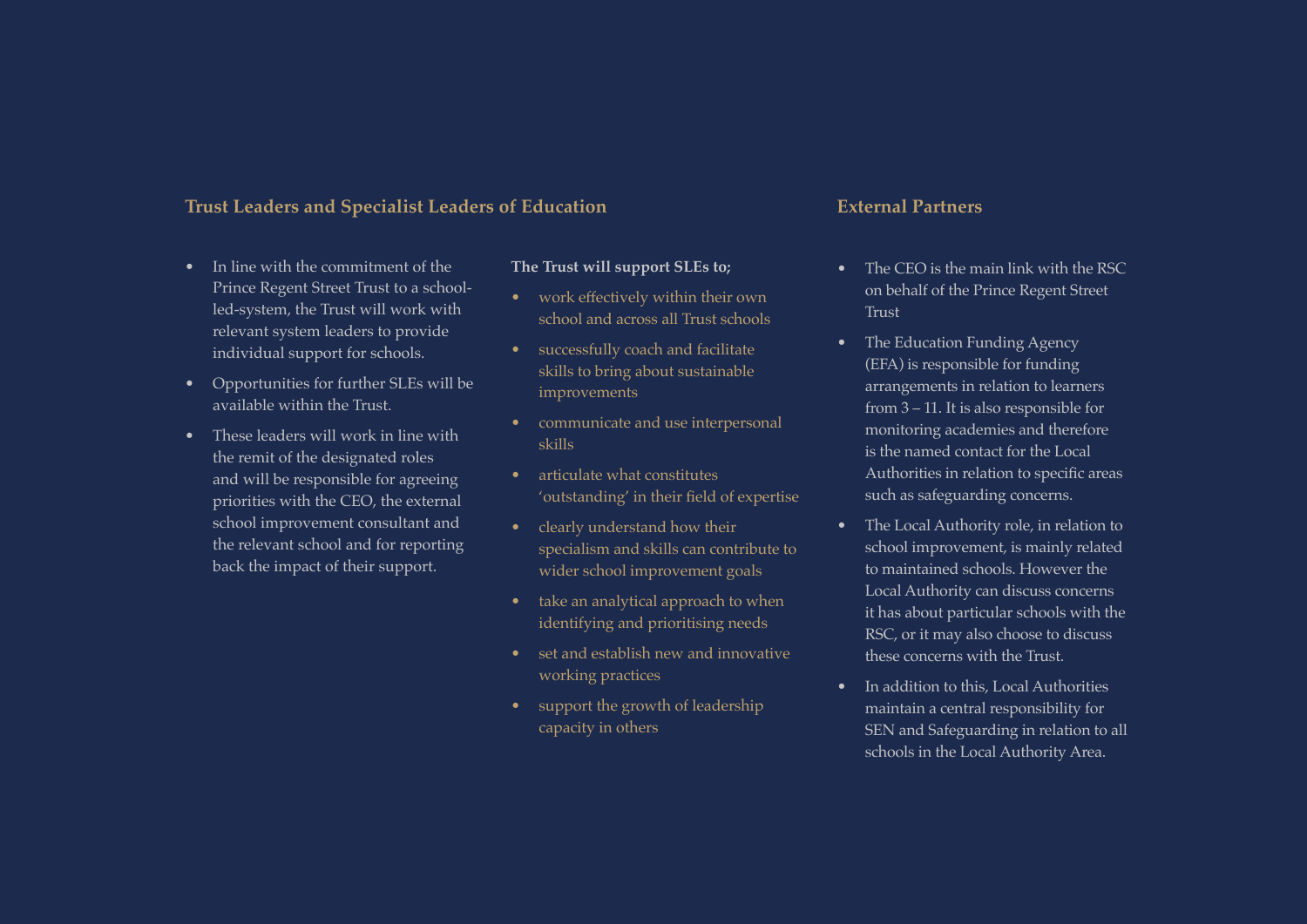#### **Trust Leaders and Specialist Leaders of Education**

- In line with the commitment of the Prince Regent Street Trust to a schoolled-system, the Trust will work with relevant system leaders to provide individual support for schools.
- Opportunities for further SLEs will be available within the Trust.
- These leaders will work in line with the remit of the designated roles and will be responsible for agreeing priorities with the CEO, the external school improvement consultant and the relevant school and for reporting back the impact of their support.

#### **The Trust will support SLEs to;**

- work effectively within their own school and across all Trust schools
- successfully coach and facilitate skills to bring about sustainable improvements
- communicate and use interpersonal skills
- articulate what constitutes 'outstanding' in their field of expertise
- clearly understand how their specialism and skills can contribute to wider school improvement goals
- take an analytical approach to when identifying and prioritising needs
- set and establish new and innovative working practices
- support the growth of leadership capacity in others

### **External Partners**

- The CEO is the main link with the RSC on behalf of the Prince Regent Street Trust
- The Education Funding Agency (EFA) is responsible for funding arrangements in relation to learners from 3 – 11. It is also responsible for monitoring academies and therefore is the named contact for the Local Authorities in relation to specific areas such as safeguarding concerns.
- The Local Authority role, in relation to school improvement, is mainly related to maintained schools. However the Local Authority can discuss concerns it has about particular schools with the RSC, or it may also choose to discuss these concerns with the Trust.
- In addition to this, Local Authorities maintain a central responsibility for SEN and Safeguarding in relation to all schools in the Local Authority Area.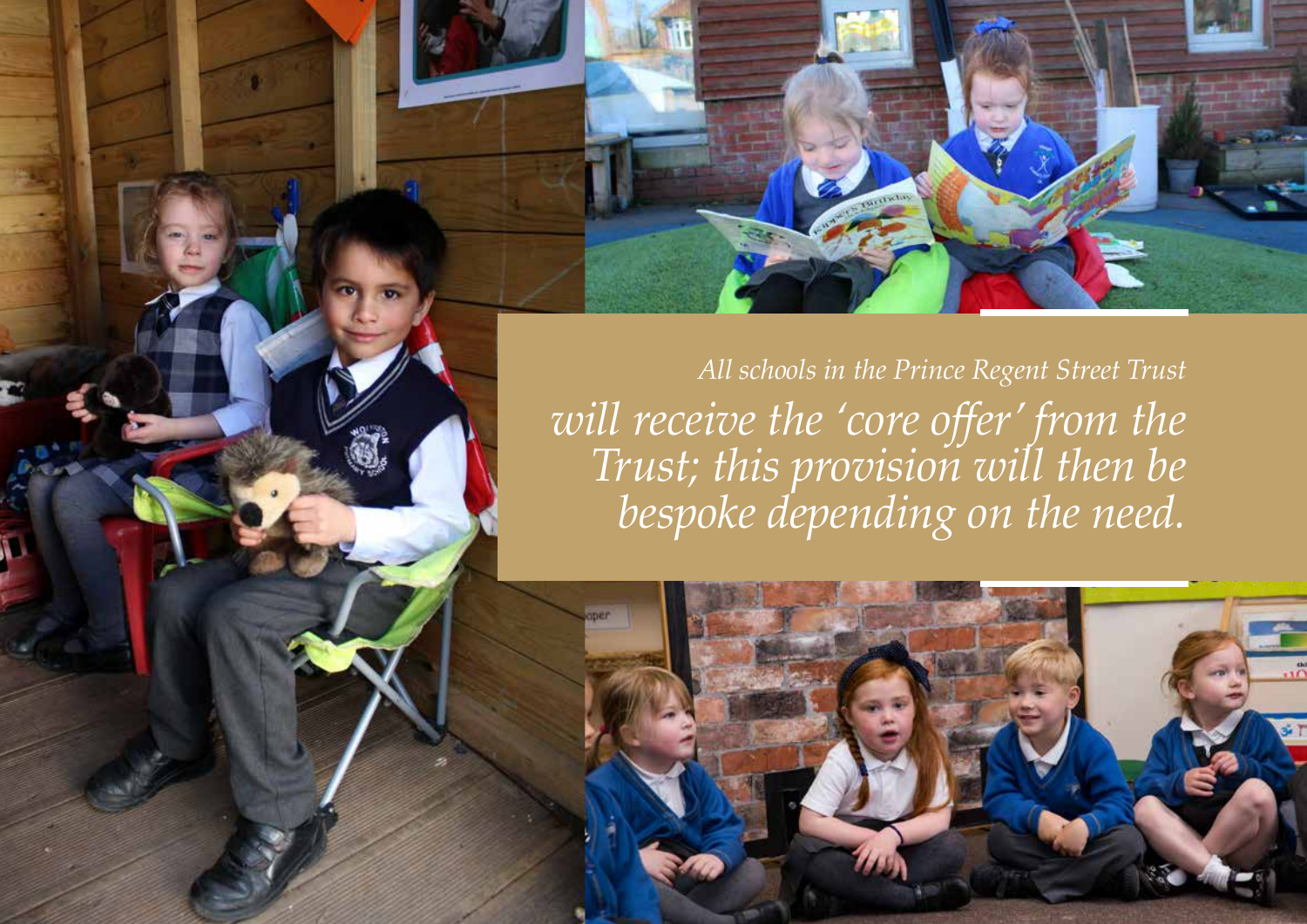*All schools in the Prince Regent Street Trust will receive the 'core offer' from the Trust; this provision will then be bespoke depending on the need.* 

PRINCE REGENT TRUST - INFORMATION PACK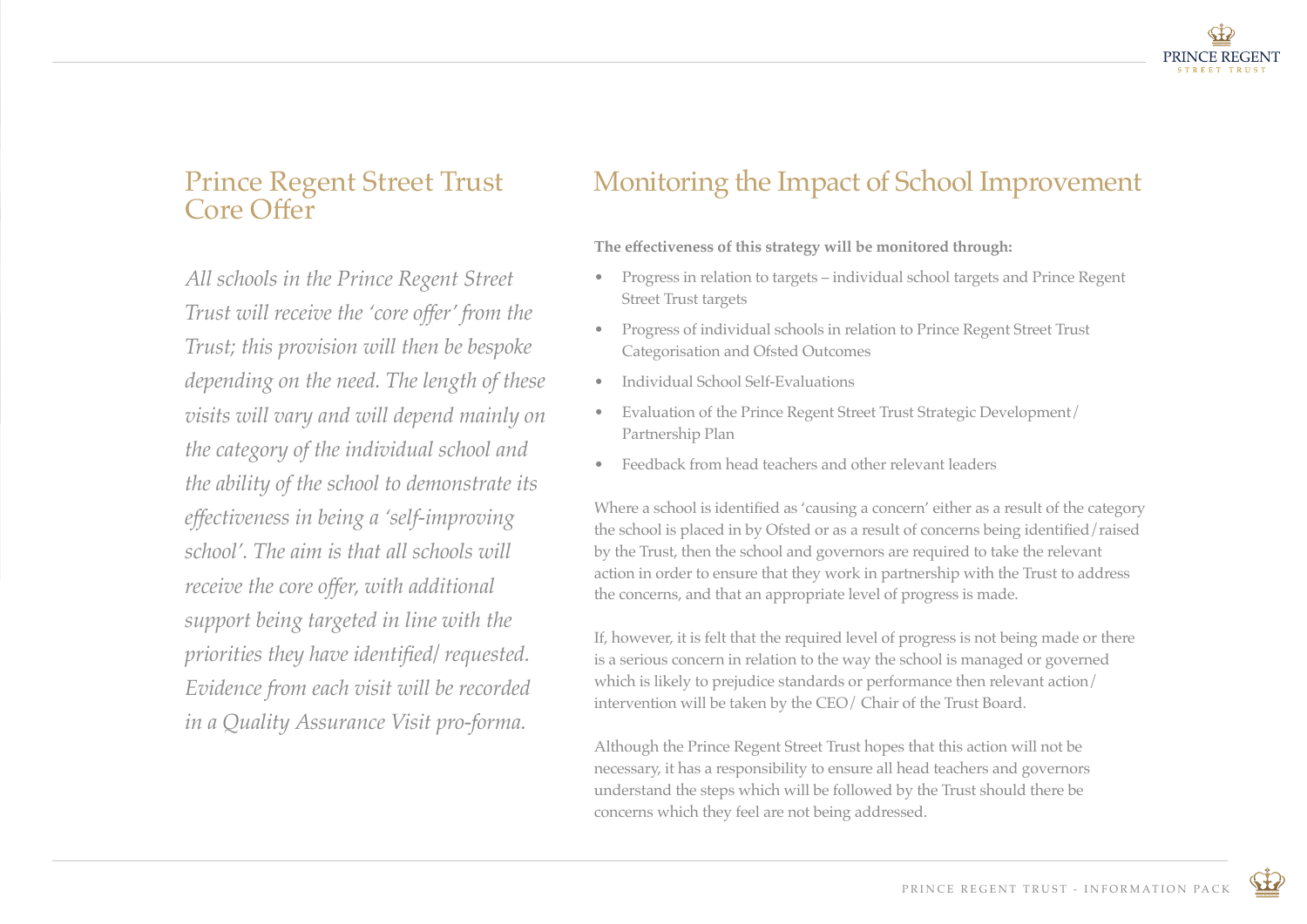

### Prince Regent Street Trust Core Offer

*All schools in the Prince Regent Street Trust will receive the 'core offer' from the Trust; this provision will then be bespoke depending on the need. The length of these visits will vary and will depend mainly on the category of the individual school and the ability of the school to demonstrate its effectiveness in being a 'self-improving school'. The aim is that all schools will receive the core offer, with additional support being targeted in line with the priorities they have identified/ requested. Evidence from each visit will be recorded in a Quality Assurance Visit pro-forma.*

# Monitoring the Impact of School Improvement

**The effectiveness of this strategy will be monitored through:**

- Progress in relation to targets individual school targets and Prince Regent Street Trust targets
- Progress of individual schools in relation to Prince Regent Street Trust Categorisation and Ofsted Outcomes
- Individual School Self-Evaluations
- Evaluation of the Prince Regent Street Trust Strategic Development/ Partnership Plan
- Feedback from head teachers and other relevant leaders

Where a school is identified as 'causing a concern' either as a result of the category the school is placed in by Ofsted or as a result of concerns being identified/raised by the Trust, then the school and governors are required to take the relevant action in order to ensure that they work in partnership with the Trust to address the concerns, and that an appropriate level of progress is made.

If, however, it is felt that the required level of progress is not being made or there is a serious concern in relation to the way the school is managed or governed which is likely to prejudice standards or performance then relevant action/ intervention will be taken by the CEO/ Chair of the Trust Board.

Although the Prince Regent Street Trust hopes that this action will not be necessary, it has a responsibility to ensure all head teachers and governors understand the steps which will be followed by the Trust should there be concerns which they feel are not being addressed.

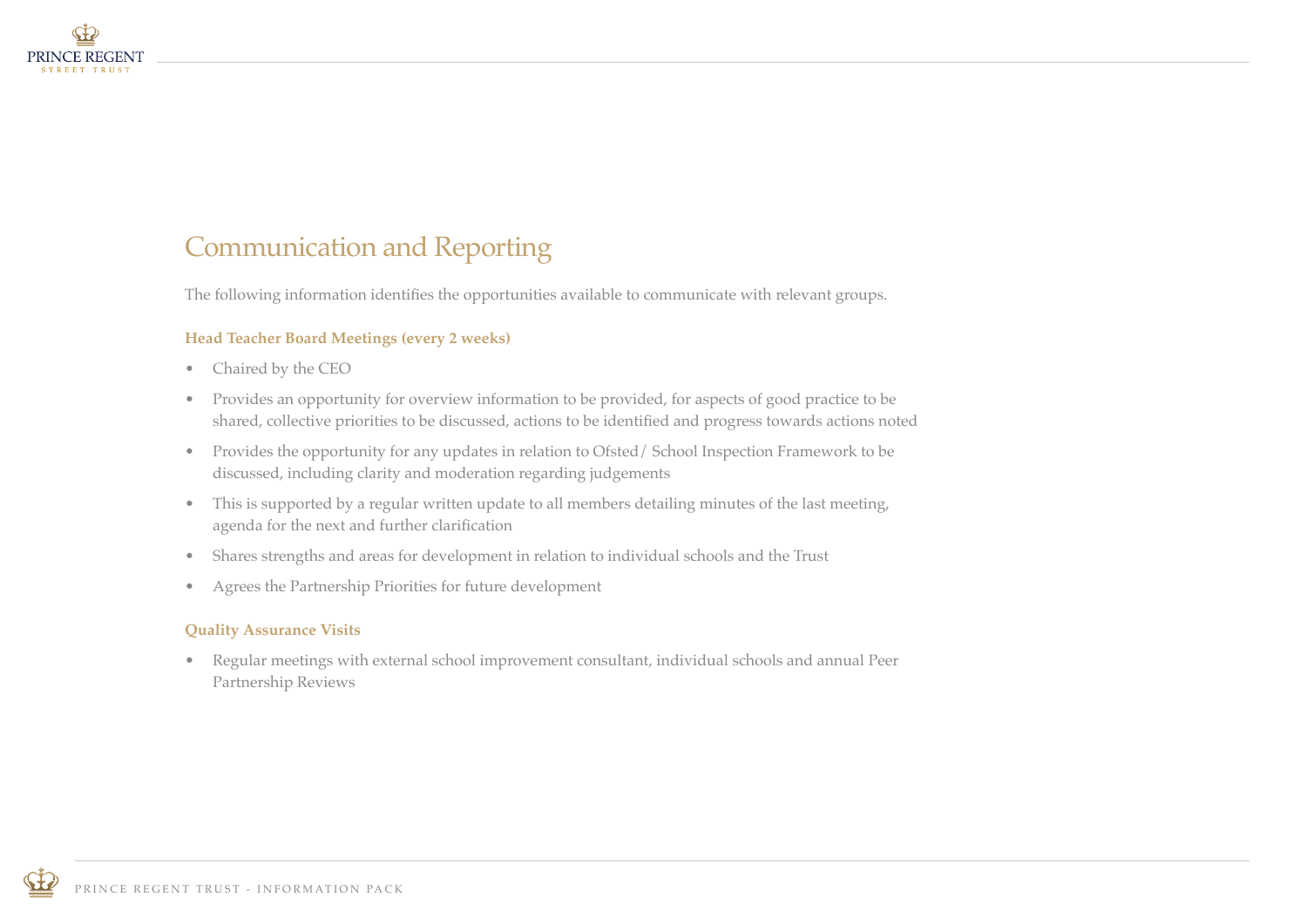

# Communication and Reporting

The following information identifies the opportunities available to communicate with relevant groups.

#### **Head Teacher Board Meetings (every 2 weeks)**

- Chaired by the CEO
- Provides an opportunity for overview information to be provided, for aspects of good practice to be shared, collective priorities to be discussed, actions to be identified and progress towards actions noted
- Provides the opportunity for any updates in relation to Ofsted/ School Inspection Framework to be discussed, including clarity and moderation regarding judgements
- This is supported by a regular written update to all members detailing minutes of the last meeting, agenda for the next and further clarification
- Shares strengths and areas for development in relation to individual schools and the Trust
- Agrees the Partnership Priorities for future development

#### **Quality Assurance Visits**

• Regular meetings with external school improvement consultant, individual schools and annual Peer Partnership Reviews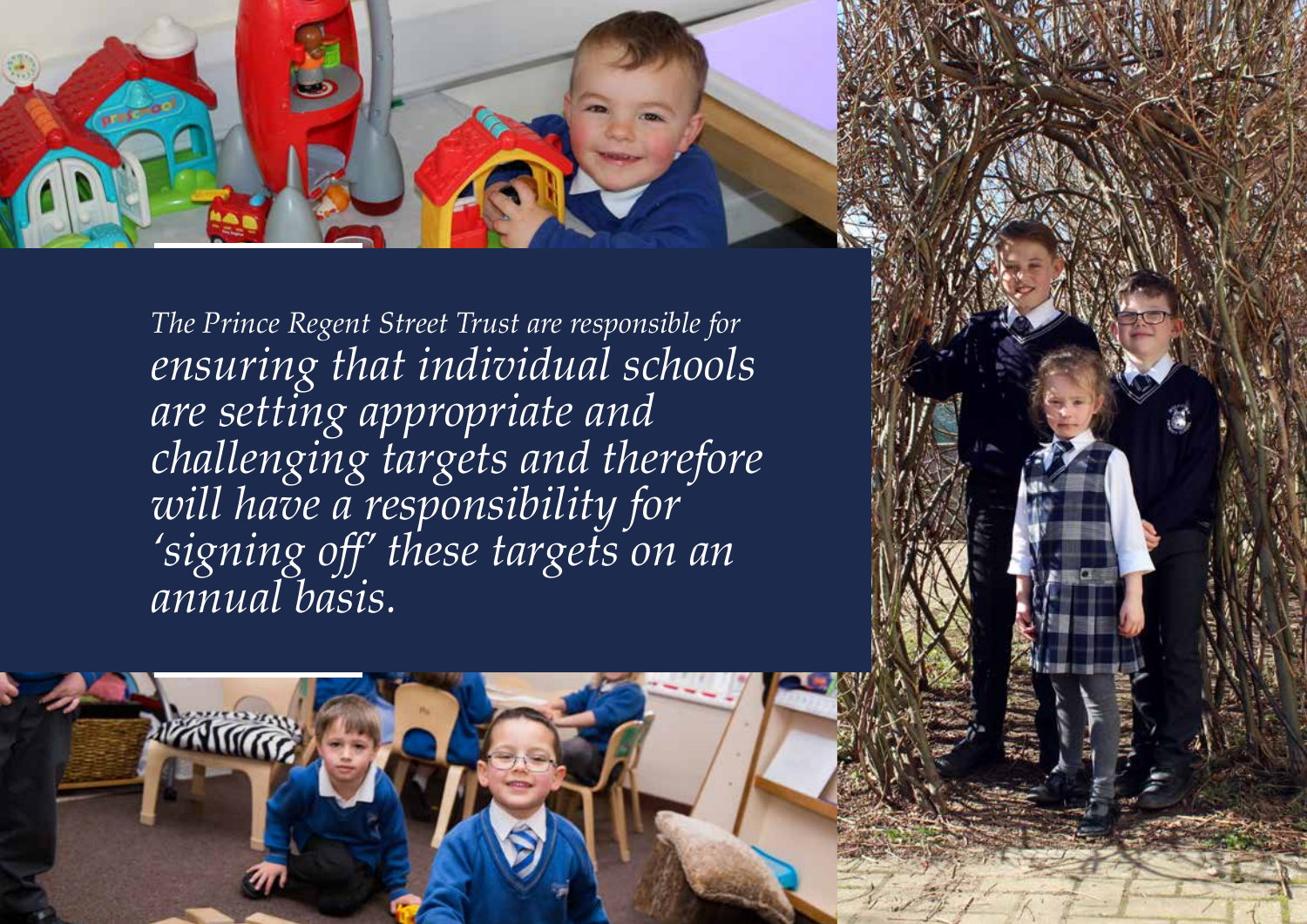

*The Prince Regent Street Trust are responsible for ensuring that individual schools are setting appropriate and challenging targets and therefore will have a responsibility for 'signing off' these targets on an annual basis.*